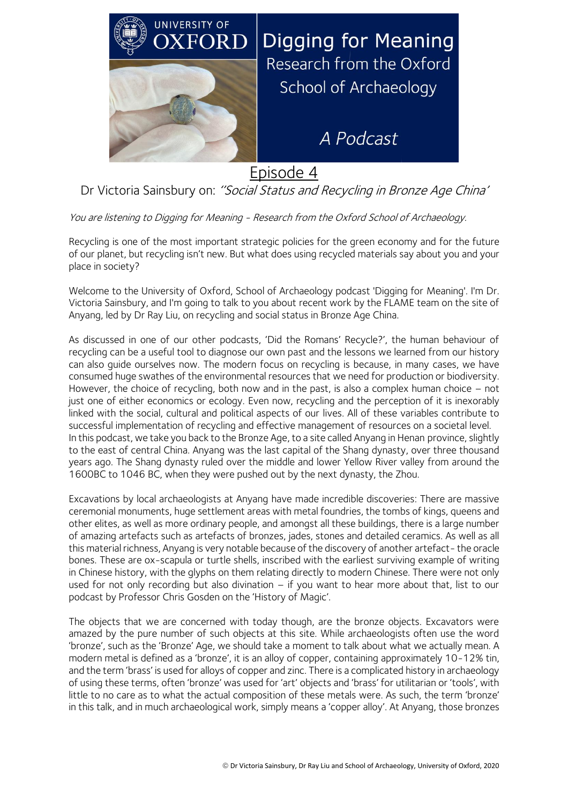

Episode 4

## Dr Victoria Sainsbury on: "Social Status and Recycling in Bronze Age China'

You are listening to Digging for Meaning - Research from the Oxford School of Archaeology.

Recycling is one of the most important strategic policies for the green economy and for the future of our planet, but recycling isn't new. But what does using recycled materials say about you and your place in society?

Welcome to the University of Oxford, School of Archaeology podcast 'Digging for Meaning'. I'm Dr. Victoria Sainsbury, and I'm going to talk to you about recent work by the FLAME team on the site of Anyang, led by Dr Ray Liu, on recycling and social status in Bronze Age China.

As discussed in one of our other podcasts, 'Did the Romans' Recycle?', the human behaviour of recycling can be a useful tool to diagnose our own past and the lessons we learned from our history can also guide ourselves now. The modern focus on recycling is because, in many cases, we have consumed huge swathes of the environmental resources that we need for production or biodiversity. However, the choice of recycling, both now and in the past, is also a complex human choice – not just one of either economics or ecology. Even now, recycling and the perception of it is inexorably linked with the social, cultural and political aspects of our lives. All of these variables contribute to successful implementation of recycling and effective management of resources on a societal level. In this podcast, we take you back to the Bronze Age, to a site called Anyang in Henan province, slightly to the east of central China. Anyang was the last capital of the Shang dynasty, over three thousand years ago. The Shang dynasty ruled over the middle and lower Yellow River valley from around the 1600BC to 1046 BC, when they were pushed out by the next dynasty, the Zhou.

Excavations by local archaeologists at Anyang have made incredible discoveries: There are massive ceremonial monuments, huge settlement areas with metal foundries, the tombs of kings, queens and other elites, as well as more ordinary people, and amongst all these buildings, there is a large number of amazing artefacts such as artefacts of bronzes, jades, stones and detailed ceramics. As well as all this material richness, Anyang is very notable because of the discovery of another artefact- the oracle bones. These are ox-scapula or turtle shells, inscribed with the earliest surviving example of writing in Chinese history, with the glyphs on them relating directly to modern Chinese. There were not only used for not only recording but also divination – if you want to hear more about that, list to our podcast by Professor Chris Gosden on the 'History of Magic'.

The objects that we are concerned with today though, are the bronze objects. Excavators were amazed by the pure number of such objects at this site. While archaeologists often use the word 'bronze', such as the 'Bronze' Age, we should take a moment to talk about what we actually mean. A modern metal is defined as a 'bronze', it is an alloy of copper, containing approximately 10-12% tin, and the term 'brass' is used for alloys of copper and zinc. There is a complicated history in archaeology of using these terms, often 'bronze' was used for 'art' objects and 'brass' for utilitarian or 'tools', with little to no care as to what the actual composition of these metals were. As such, the term 'bronze' in this talk, and in much archaeological work, simply means a 'copper alloy'. At Anyang, those bronzes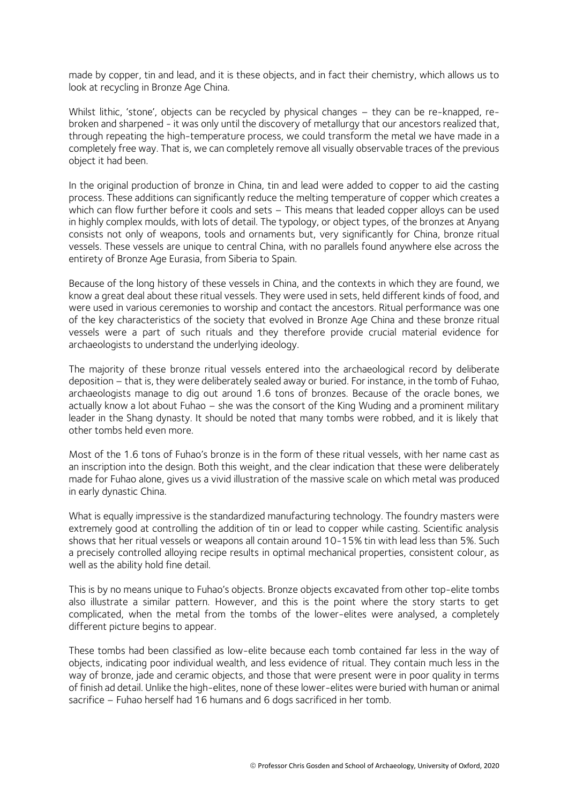made by copper, tin and lead, and it is these objects, and in fact their chemistry, which allows us to look at recycling in Bronze Age China.

Whilst lithic, 'stone', objects can be recycled by physical changes – they can be re-knapped, rebroken and sharpened - it was only until the discovery of metallurgy that our ancestors realized that, through repeating the high-temperature process, we could transform the metal we have made in a completely free way. That is, we can completely remove all visually observable traces of the previous object it had been.

In the original production of bronze in China, tin and lead were added to copper to aid the casting process. These additions can significantly reduce the melting temperature of copper which creates a which can flow further before it cools and sets - This means that leaded copper alloys can be used in highly complex moulds, with lots of detail. The typology, or object types, of the bronzes at Anyang consists not only of weapons, tools and ornaments but, very significantly for China, bronze ritual vessels. These vessels are unique to central China, with no parallels found anywhere else across the entirety of Bronze Age Eurasia, from Siberia to Spain.

Because of the long history of these vessels in China, and the contexts in which they are found, we know a great deal about these ritual vessels. They were used in sets, held different kinds of food, and were used in various ceremonies to worship and contact the ancestors. Ritual performance was one of the key characteristics of the society that evolved in Bronze Age China and these bronze ritual vessels were a part of such rituals and they therefore provide crucial material evidence for archaeologists to understand the underlying ideology.

The majority of these bronze ritual vessels entered into the archaeological record by deliberate deposition – that is, they were deliberately sealed away or buried. For instance, in the tomb of Fuhao, archaeologists manage to dig out around 1.6 tons of bronzes. Because of the oracle bones, we actually know a lot about Fuhao – she was the consort of the King Wuding and a prominent military leader in the Shang dynasty. It should be noted that many tombs were robbed, and it is likely that other tombs held even more.

Most of the 1.6 tons of Fuhao's bronze is in the form of these ritual vessels, with her name cast as an inscription into the design. Both this weight, and the clear indication that these were deliberately made for Fuhao alone, gives us a vivid illustration of the massive scale on which metal was produced in early dynastic China.

What is equally impressive is the standardized manufacturing technology. The foundry masters were extremely good at controlling the addition of tin or lead to copper while casting. Scientific analysis shows that her ritual vessels or weapons all contain around 10-15% tin with lead less than 5%. Such a precisely controlled alloying recipe results in optimal mechanical properties, consistent colour, as well as the ability hold fine detail.

This is by no means unique to Fuhao's objects. Bronze objects excavated from other top-elite tombs also illustrate a similar pattern. However, and this is the point where the story starts to get complicated, when the metal from the tombs of the lower-elites were analysed, a completely different picture begins to appear.

These tombs had been classified as low-elite because each tomb contained far less in the way of objects, indicating poor individual wealth, and less evidence of ritual. They contain much less in the way of bronze, jade and ceramic objects, and those that were present were in poor quality in terms of finish ad detail. Unlike the high-elites, none of these lower-elites were buried with human or animal sacrifice – Fuhao herself had 16 humans and 6 dogs sacrificed in her tomb.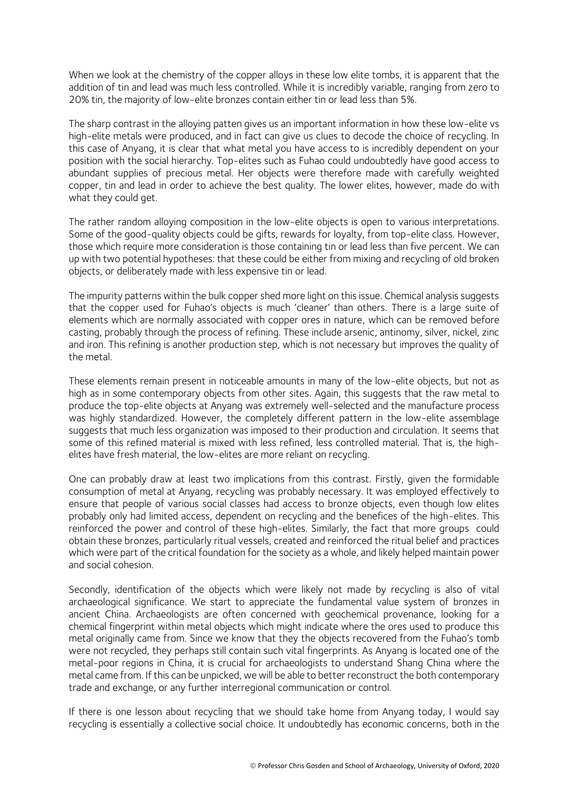When we look at the chemistry of the copper alloys in these low elite tombs, it is apparent that the addition of tin and lead was much less controlled. While it is incredibly variable, ranging from zero to 20% tin, the majority of low-elite bronzes contain either tin or lead less than 5%.

The sharp contrast in the alloying patten gives us an important information in how these low-elite vs high-elite metals were produced, and in fact can give us clues to decode the choice of recycling. In this case of Anyang, it is clear that what metal you have access to is incredibly dependent on your position with the social hierarchy. Top-elites such as Fuhao could undoubtedly have good access to abundant supplies of precious metal. Her objects were therefore made with carefully weighted copper, tin and lead in order to achieve the best quality. The lower elites, however, made do with what they could get.

The rather random alloying composition in the low-elite objects is open to various interpretations. Some of the good-quality objects could be gifts, rewards for loyalty, from top-elite class. However, those which require more consideration is those containing tin or lead less than five percent. We can up with two potential hypotheses: that these could be either from mixing and recycling of old broken objects, or deliberately made with less expensive tin or lead.

The impurity patterns within the bulk copper shed more light on this issue. Chemical analysis suggests that the copper used for Fuhao's objects is much 'cleaner' than others. There is a large suite of elements which are normally associated with copper ores in nature, which can be removed before casting, probably through the process of refining. These include arsenic, antinomy, silver, nickel, zinc and iron. This refining is another production step, which is not necessary but improves the quality of the metal.

These elements remain present in noticeable amounts in many of the low-elite objects, but not as high as in some contemporary objects from other sites. Again, this suggests that the raw metal to produce the top-elite objects at Anyang was extremely well-selected and the manufacture process was highly standardized. However, the completely different pattern in the low-elite assemblage suggests that much less organization was imposed to their production and circulation. It seems that some of this refined material is mixed with less refined, less controlled material. That is, the highelites have fresh material, the low-elites are more reliant on recycling.

One can probably draw at least two implications from this contrast. Firstly, given the formidable consumption of metal at Anyang, recycling was probably necessary. It was employed effectively to ensure that people of various social classes had access to bronze objects, even though low elites probably only had limited access, dependent on recycling and the benefices of the high-elites. This reinforced the power and control of these high-elites. Similarly, the fact that more groups could obtain these bronzes, particularly ritual vessels, created and reinforced the ritual belief and practices which were part of the critical foundation for the society as a whole, and likely helped maintain power and social cohesion.

Secondly, identification of the objects which were likely not made by recycling is also of vital archaeological significance. We start to appreciate the fundamental value system of bronzes in ancient China. Archaeologists are often concerned with geochemical provenance, looking for a chemical fingerprint within metal objects which might indicate where the ores used to produce this metal originally came from. Since we know that they the objects recovered from the Fuhao's tomb were not recycled, they perhaps still contain such vital fingerprints. As Anyang is located one of the metal-poor regions in China, it is crucial for archaeologists to understand Shang China where the metal came from. If this can be unpicked, we will be able to better reconstruct the both contemporary trade and exchange, or any further interregional communication or control.

If there is one lesson about recycling that we should take home from Anyang today, I would say recycling is essentially a collective social choice. It undoubtedly has economic concerns, both in the